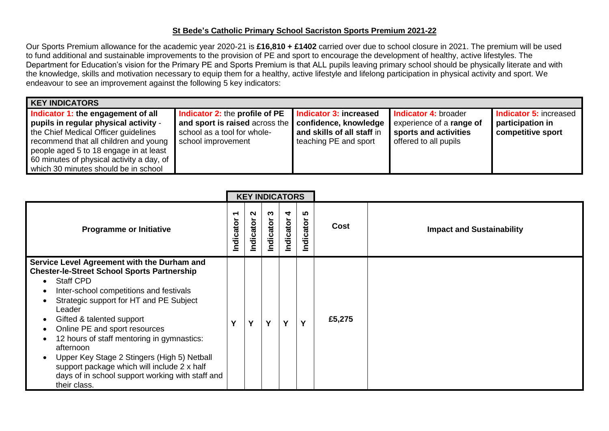## **St Bede's Catholic Primary School Sacriston Sports Premium 2021-22**

Our Sports Premium allowance for the academic year 2020-21 is **£16,810 + £1402** carried over due to school closure in 2021. The premium will be used to fund additional and sustainable improvements to the provision of PE and sport to encourage the development of healthy, active lifestyles. The Department for Education's vision for the Primary PE and Sports Premium is that ALL pupils leaving primary school should be physically literate and with the knowledge, skills and motivation necessary to equip them for a healthy, active lifestyle and lifelong participation in physical activity and sport. We endeavour to see an improvement against the following 5 key indicators:

| <b>KEY INDICATORS</b>                                                                                                                                                                                                                                                                       |                                                                                                                                                      |                                                                               |                                                                                                    |                                                                        |  |  |  |  |  |  |  |  |  |
|---------------------------------------------------------------------------------------------------------------------------------------------------------------------------------------------------------------------------------------------------------------------------------------------|------------------------------------------------------------------------------------------------------------------------------------------------------|-------------------------------------------------------------------------------|----------------------------------------------------------------------------------------------------|------------------------------------------------------------------------|--|--|--|--|--|--|--|--|--|
| Indicator 1: the engagement of all<br>pupils in regular physical activity -<br>the Chief Medical Officer guidelines<br>recommend that all children and young<br>people aged 5 to 18 engage in at least<br>60 minutes of physical activity a day, of<br>which 30 minutes should be in school | <b>Indicator 2: the profile of PE</b><br>and sport is raised across the   confidence, knowledge<br>school as a tool for whole-<br>school improvement | Indicator 3: increased<br>and skills of all staff in<br>teaching PE and sport | Indicator 4: broader<br>experience of a range of<br>sports and activities<br>offered to all pupils | <b>Indicator 5: increased</b><br>participation in<br>competitive sport |  |  |  |  |  |  |  |  |  |

|                                                                                                                                                                                                                                                                                                                                                                                                                                                                                                                  | <b>KEY INDICATORS</b> |                |                |                |                |        |                                  |
|------------------------------------------------------------------------------------------------------------------------------------------------------------------------------------------------------------------------------------------------------------------------------------------------------------------------------------------------------------------------------------------------------------------------------------------------------------------------------------------------------------------|-----------------------|----------------|----------------|----------------|----------------|--------|----------------------------------|
| <b>Programme or Initiative</b>                                                                                                                                                                                                                                                                                                                                                                                                                                                                                   | ↽<br>Indicator        | N<br>Indicator | ო<br>Indicator | 4<br>Indicator | ທ<br>Indicator | Cost   | <b>Impact and Sustainability</b> |
| Service Level Agreement with the Durham and<br><b>Chester-le-Street School Sports Partnership</b><br><b>Staff CPD</b><br>Inter-school competitions and festivals<br>Strategic support for HT and PE Subject<br>Leader<br>Gifted & talented support<br>Online PE and sport resources<br>12 hours of staff mentoring in gymnastics:<br>afternoon<br>Upper Key Stage 2 Stingers (High 5) Netball<br>support package which will include 2 x half<br>days of in school support working with staff and<br>their class. | Υ                     | Y              | Y              | Y              | $\mathbf v$    | £5,275 |                                  |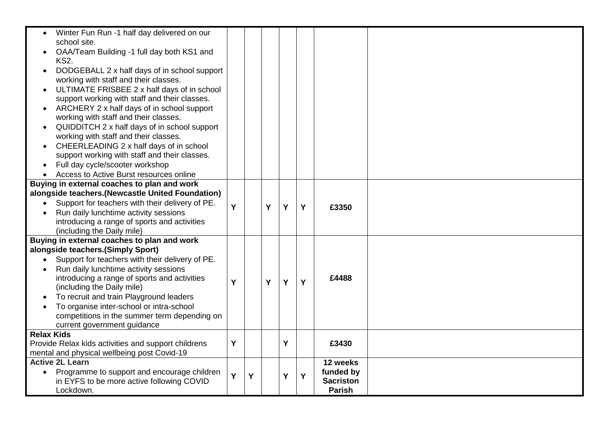| Winter Fun Run -1 half day delivered on our<br>school site. |   |   |   |   |   |                  |  |
|-------------------------------------------------------------|---|---|---|---|---|------------------|--|
|                                                             |   |   |   |   |   |                  |  |
| OAA/Team Building -1 full day both KS1 and                  |   |   |   |   |   |                  |  |
| <b>KS2.</b>                                                 |   |   |   |   |   |                  |  |
| DODGEBALL 2 x half days of in school support                |   |   |   |   |   |                  |  |
| working with staff and their classes.                       |   |   |   |   |   |                  |  |
| ULTIMATE FRISBEE 2 x half days of in school                 |   |   |   |   |   |                  |  |
| support working with staff and their classes.               |   |   |   |   |   |                  |  |
| ARCHERY 2 x half days of in school support                  |   |   |   |   |   |                  |  |
| working with staff and their classes.                       |   |   |   |   |   |                  |  |
| QUIDDITCH 2 x half days of in school support                |   |   |   |   |   |                  |  |
| working with staff and their classes.                       |   |   |   |   |   |                  |  |
| CHEERLEADING 2 x half days of in school<br>$\bullet$        |   |   |   |   |   |                  |  |
| support working with staff and their classes.               |   |   |   |   |   |                  |  |
| Full day cycle/scooter workshop                             |   |   |   |   |   |                  |  |
| Access to Active Burst resources online                     |   |   |   |   |   |                  |  |
| Buying in external coaches to plan and work                 |   |   |   |   |   |                  |  |
| alongside teachers. (Newcastle United Foundation)           |   |   |   |   |   |                  |  |
| Support for teachers with their delivery of PE.             | Y |   | Y | Y | Y | £3350            |  |
| Run daily lunchtime activity sessions                       |   |   |   |   |   |                  |  |
| introducing a range of sports and activities                |   |   |   |   |   |                  |  |
| (including the Daily mile)                                  |   |   |   |   |   |                  |  |
| Buying in external coaches to plan and work                 |   |   |   |   |   |                  |  |
| alongside teachers.(Simply Sport)                           |   |   |   |   |   |                  |  |
| Support for teachers with their delivery of PE.             |   |   |   |   |   |                  |  |
| Run daily lunchtime activity sessions                       |   |   |   |   |   |                  |  |
| introducing a range of sports and activities                | Y |   | Y | Y | Y | £4488            |  |
| (including the Daily mile)                                  |   |   |   |   |   |                  |  |
| To recruit and train Playground leaders                     |   |   |   |   |   |                  |  |
| To organise inter-school or intra-school                    |   |   |   |   |   |                  |  |
| competitions in the summer term depending on                |   |   |   |   |   |                  |  |
| current government guidance                                 |   |   |   |   |   |                  |  |
| <b>Relax Kids</b>                                           |   |   |   |   |   |                  |  |
| Provide Relax kids activities and support childrens         | Y |   |   | Y |   | £3430            |  |
| mental and physical wellbeing post Covid-19                 |   |   |   |   |   |                  |  |
| <b>Active 2L Learn</b>                                      |   |   |   |   |   | 12 weeks         |  |
| Programme to support and encourage children<br>$\bullet$    | Ý | Y |   | Υ | Y | funded by        |  |
| in EYFS to be more active following COVID                   |   |   |   |   |   | <b>Sacriston</b> |  |
| Lockdown.                                                   |   |   |   |   |   | <b>Parish</b>    |  |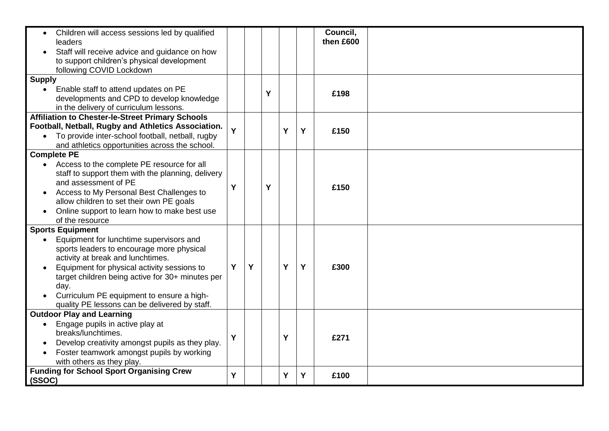| Children will access sessions led by qualified<br>$\bullet$<br>leaders<br>Staff will receive advice and guidance on how<br>$\bullet$<br>to support children's physical development<br>following COVID Lockdown                                                                                                                                                                          |   |   |   |   |   | Council,<br>then £600 |  |
|-----------------------------------------------------------------------------------------------------------------------------------------------------------------------------------------------------------------------------------------------------------------------------------------------------------------------------------------------------------------------------------------|---|---|---|---|---|-----------------------|--|
| <b>Supply</b><br>Enable staff to attend updates on PE<br>$\bullet$<br>developments and CPD to develop knowledge<br>in the delivery of curriculum lessons.                                                                                                                                                                                                                               |   |   | Y |   |   | £198                  |  |
| <b>Affiliation to Chester-le-Street Primary Schools</b><br>Football, Netball, Rugby and Athletics Association.<br>• To provide inter-school football, netball, rugby<br>and athletics opportunities across the school.                                                                                                                                                                  | Ý |   |   | Y | Y | £150                  |  |
| <b>Complete PE</b><br>Access to the complete PE resource for all<br>staff to support them with the planning, delivery<br>and assessment of PE<br>Access to My Personal Best Challenges to<br>$\bullet$<br>allow children to set their own PE goals<br>Online support to learn how to make best use<br>of the resource                                                                   | Y |   | Y |   |   | £150                  |  |
| <b>Sports Equipment</b><br>Equipment for lunchtime supervisors and<br>$\bullet$<br>sports leaders to encourage more physical<br>activity at break and lunchtimes.<br>Equipment for physical activity sessions to<br>$\bullet$<br>target children being active for 30+ minutes per<br>day.<br>Curriculum PE equipment to ensure a high-<br>quality PE lessons can be delivered by staff. | Y | Y |   | Y | Y | £300                  |  |
| <b>Outdoor Play and Learning</b><br>Engage pupils in active play at<br>breaks/lunchtimes.<br>Develop creativity amongst pupils as they play.<br>Foster teamwork amongst pupils by working<br>with others as they play.                                                                                                                                                                  | Y |   |   | Y |   | £271                  |  |
| <b>Funding for School Sport Organising Crew</b><br>(SSOC)                                                                                                                                                                                                                                                                                                                               | Y |   |   | Y | Y | £100                  |  |